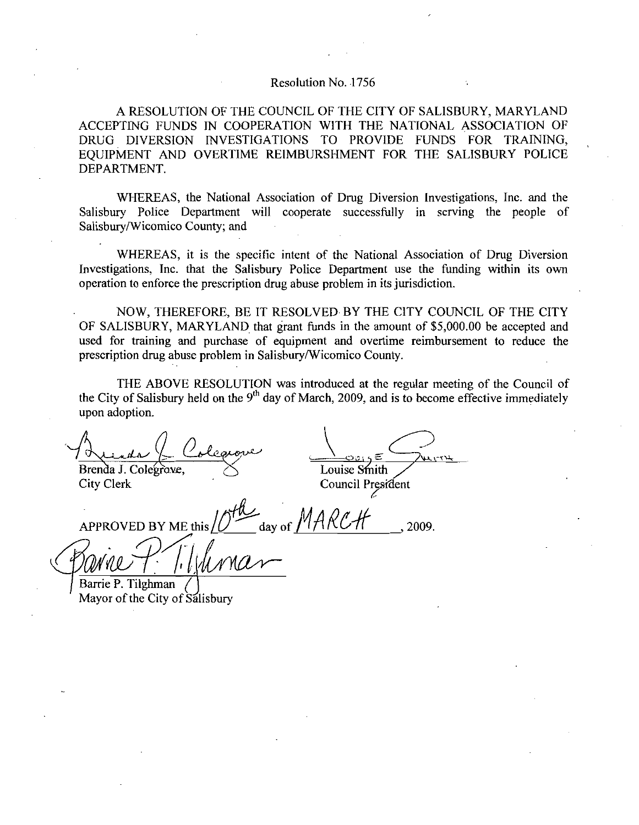## Resolution No. 1756

A RESOLUTION OF THE COUNCIL OF THE CITY OF SALISBURY, MARYLAND ACCEPTING FUNDS IN COOPERATION WITH THE NATIONAL ASSOCIATION OF DRUG DIVERSION INVESTIGATIONS TO PROVIDE FUNDS FOR TRAINING EQUIPMENT AND OVERTIME REIMBURSHMENT FOR THE SALISBURY POLICE DEPARTMENT

WHEREAS, the National Association of Drug Diversion Investigations, Inc. and the Salisbury Police Department will cooperate successfully in serving the people of Salisbury/Wicomico County; and

WHEREAS it is the specific intent of the National Association of Drug Diversion Investigations. Inc. that the Salisbury Police Department use the funding within its own operation to enforce the prescription drug abuse problem in its jurisdiction

NOW, THEREFORE, BE IT RESOLVED BY THE CITY COUNCIL OF THE CITY MARYLAND that grant funds in the amount of the funding within its own<br>operation to enforce the prescription drug abuse problem in its jurisdiction.<br>NOW, THEREFORE, BE IT RESOLVED BY THE CITY COUNCIL OF THE CITY<br>OF SALISBUR prescription drug abuse problem in Salisbury/Wicomico County.

THE ABOVE RESOLUTION was introduced at the regular meeting of the Council of the City of Salisbury held on the  $9<sup>th</sup>$  day of March, 2009, and is to become effective immediately upon adoption

Brenda (L Colegrove

City Clerk

D<br><u>WITH</u> Louise Smith

Council President<br>X CH (2009) ased for daming and puchase of equipment and overtime feminites<br>prescription drug abuse problem in Salisbury/Wicomico County.<br>THE ABOVE RESOLUTION was introduced at the regular<br>the City of Salisbury held on the 9<sup>th</sup> day o MARYLAND that grand purchase of equal buse problem in Salisbury<br>UE RESOLUTION way<br>buse problem in Salisbury<br> $\frac{O_{\text{o}} \ell_{\text{c}} \omega_{\text{c}}}{\ell_{\text{c}}},$ <br> $\frac{O_{\text{o}} \ell_{\text{c}} \omega_{\text{c}}}{\ell_{\text{c}}},$ <br> $\frac{O_{\text{o}} \ell_{\text{c}}}{\ell_{\text{c}}},$ <br> $\frac{$ 

IN

Barrie P. Tilghman Mayor of the City of Salisbury